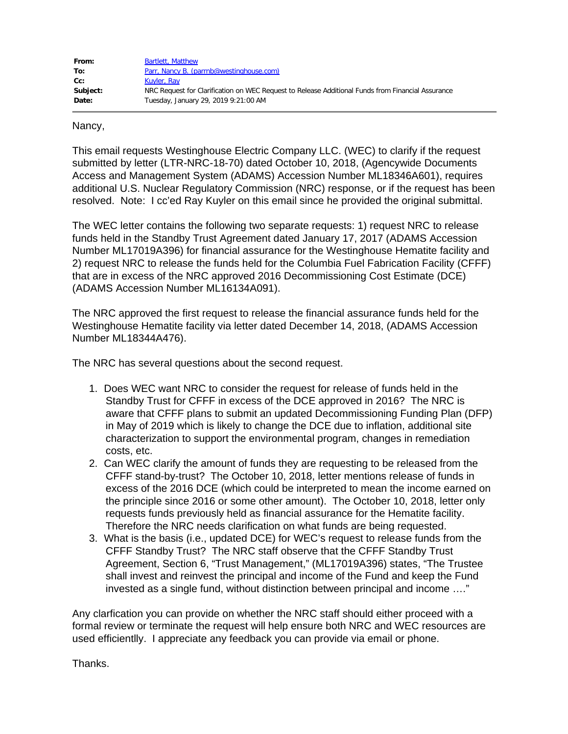| From:    | Bartlett, Matthew                                                                                 |
|----------|---------------------------------------------------------------------------------------------------|
| To:      | Parr, Nancy B. (parrnb@westinghouse.com)                                                          |
| cc:      | Kuyler, Ray                                                                                       |
| Subject: | NRC Request for Clarification on WEC Request to Release Additional Funds from Financial Assurance |
| Date:    | Tuesday, January 29, 2019 9:21:00 AM                                                              |

## Nancy,

This email requests Westinghouse Electric Company LLC. (WEC) to clarify if the request submitted by letter (LTR-NRC-18-70) dated October 10, 2018, (Agencywide Documents Access and Management System (ADAMS) Accession Number ML18346A601), requires additional U.S. Nuclear Regulatory Commission (NRC) response, or if the request has been resolved. Note: I cc'ed Ray Kuyler on this email since he provided the original submittal.

The WEC letter contains the following two separate requests: 1) request NRC to release funds held in the Standby Trust Agreement dated January 17, 2017 (ADAMS Accession Number ML17019A396) for financial assurance for the Westinghouse Hematite facility and 2) request NRC to release the funds held for the Columbia Fuel Fabrication Facility (CFFF) that are in excess of the NRC approved 2016 Decommissioning Cost Estimate (DCE) (ADAMS Accession Number ML16134A091).

The NRC approved the first request to release the financial assurance funds held for the Westinghouse Hematite facility via letter dated December 14, 2018, (ADAMS Accession Number ML18344A476).

The NRC has several questions about the second request.

- 1. Does WEC want NRC to consider the request for release of funds held in the Standby Trust for CFFF in excess of the DCE approved in 2016? The NRC is aware that CFFF plans to submit an updated Decommissioning Funding Plan (DFP) in May of 2019 which is likely to change the DCE due to inflation, additional site characterization to support the environmental program, changes in remediation costs, etc.
- 2. Can WEC clarify the amount of funds they are requesting to be released from the CFFF stand-by-trust? The October 10, 2018, letter mentions release of funds in excess of the 2016 DCE (which could be interpreted to mean the income earned on the principle since 2016 or some other amount). The October 10, 2018, letter only requests funds previously held as financial assurance for the Hematite facility. Therefore the NRC needs clarification on what funds are being requested.
- 3. What is the basis (i.e., updated DCE) for WEC's request to release funds from the CFFF Standby Trust? The NRC staff observe that the CFFF Standby Trust Agreement, Section 6, "Trust Management," (ML17019A396) states, "The Trustee shall invest and reinvest the principal and income of the Fund and keep the Fund invested as a single fund, without distinction between principal and income …."

Any clarfication you can provide on whether the NRC staff should either proceed with a formal review or terminate the request will help ensure both NRC and WEC resources are used efficientlly. I appreciate any feedback you can provide via email or phone.

Thanks.